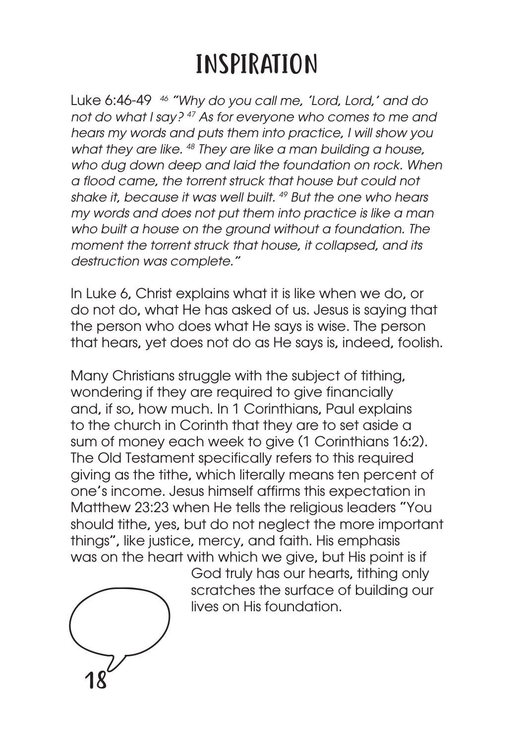## INSPIRATION

Luke 6:46-49 *46 "Why do you call me, 'Lord, Lord,' and do not do what I say? 47 As for everyone who comes to me and hears my words and puts them into practice, I will show you what they are like. 48 They are like a man building a house, who dug down deep and laid the foundation on rock. When a flood came, the torrent struck that house but could not shake it, because it was well built. 49 But the one who hears my words and does not put them into practice is like a man who built a house on the ground without a foundation. The moment the torrent struck that house, it collapsed, and its destruction was complete."*

In Luke 6, Christ explains what it is like when we do, or do not do, what He has asked of us. Jesus is saying that the person who does what He says is wise. The person that hears, yet does not do as He says is, indeed, foolish.

Many Christians struggle with the subject of tithing, wondering if they are required to give financially and, if so, how much. In 1 Corinthians, Paul explains to the church in Corinth that they are to set aside a sum of money each week to give (1 Corinthians 16:2). The Old Testament specifically refers to this required giving as the tithe, which literally means ten percent of one's income. Jesus himself affirms this expectation in Matthew 23:23 when He tells the religious leaders "You should tithe, yes, but do not neglect the more important things", like justice, mercy, and faith. His emphasis was on the heart with which we give, but His point is if



God truly has our hearts, tithing only scratches the surface of building our lives on His foundation.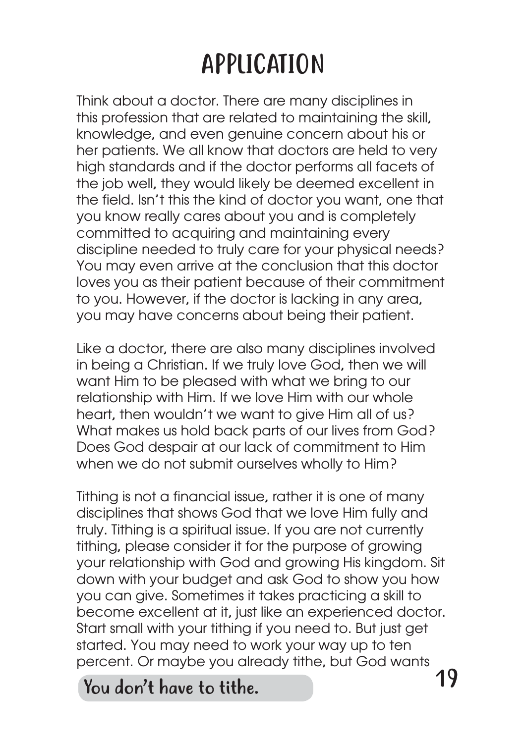## APPLICATION

Think about a doctor. There are many disciplines in this profession that are related to maintaining the skill, knowledge, and even genuine concern about his or her patients. We all know that doctors are held to very high standards and if the doctor performs all facets of the job well, they would likely be deemed excellent in the field. Isn't this the kind of doctor you want, one that you know really cares about you and is completely committed to acquiring and maintaining every discipline needed to truly care for your physical needs? You may even arrive at the conclusion that this doctor loves you as their patient because of their commitment to you. However, if the doctor is lacking in any area, you may have concerns about being their patient.

Like a doctor, there are also many disciplines involved in being a Christian. If we truly love God, then we will want Him to be pleased with what we bring to our relationship with Him. If we love Him with our whole heart, then wouldn't we want to give Him all of us? What makes us hold back parts of our lives from God? Does God despair at our lack of commitment to Him when we do not submit ourselves wholly to Him?

Tithing is not a financial issue, rather it is one of many disciplines that shows God that we love Him fully and truly. Tithing is a spiritual issue. If you are not currently tithing, please consider it for the purpose of growing your relationship with God and growing His kingdom. Sit down with your budget and ask God to show you how you can give. Sometimes it takes practicing a skill to become excellent at it, just like an experienced doctor. Start small with your tithing if you need to. But just get started. You may need to work your way up to ten percent. Or maybe you already tithe, but God wants

You don't have to tithe.  $19$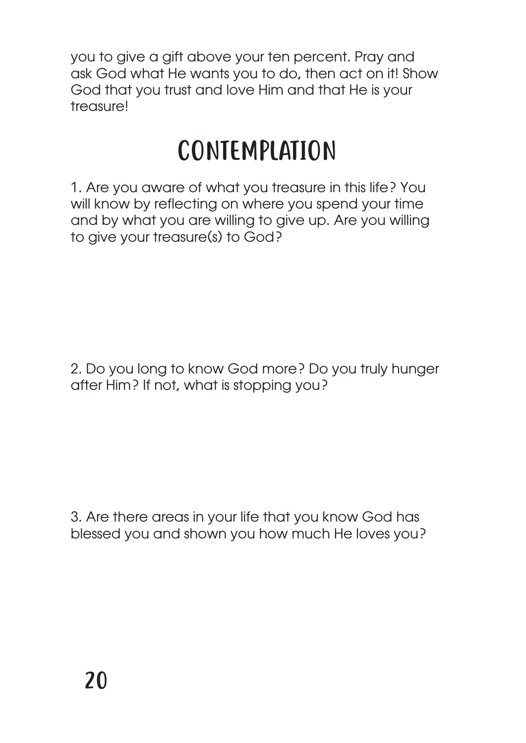you to give a gift above your ten percent. Pray and ask God what He wants you to do, then act on it! Show God that you trust and love Him and that He is your treasure!

## CONTEMPLATION

1. Are you aware of what you treasure in this life? You will know by reflecting on where you spend your time and by what you are willing to give up. Are you willing to give your treasure(s) to God?

2. Do you long to know God more? Do you truly hunger after Him? If not, what is stopping you?

3. Are there areas in your life that you know God has blessed you and shown you how much He loves you?